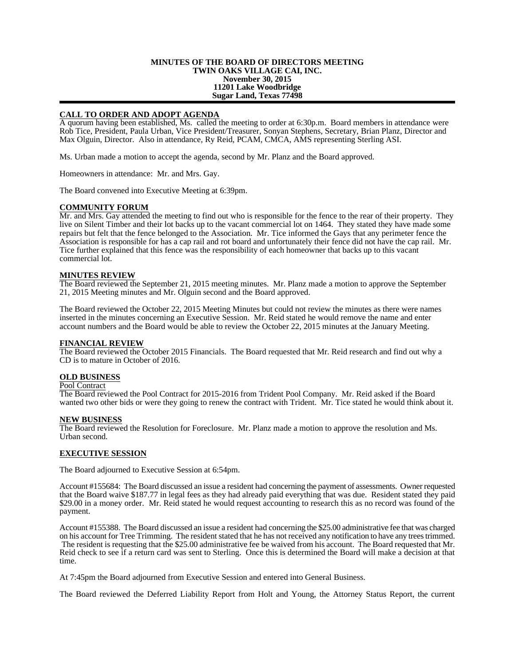#### **MINUTES OF THE BOARD OF DIRECTORS MEETING TWIN OAKS VILLAGE CAI, INC. November 30, 2015 11201 Lake Woodbridge Sugar Land, Texas 77498**

# **CALL TO ORDER AND ADOPT AGENDA**

A quorum having been established, Ms. called the meeting to order at 6:30p.m. Board members in attendance were Rob Tice, President, Paula Urban, Vice President/Treasurer, Sonyan Stephens, Secretary, Brian Planz, Director and Max Olguin, Director. Also in attendance, Ry Reid, PCAM, CMCA, AMS representing Sterling ASI.

Ms. Urban made a motion to accept the agenda, second by Mr. Planz and the Board approved.

Homeowners in attendance: Mr. and Mrs. Gay.

The Board convened into Executive Meeting at 6:39pm.

#### **COMMUNITY FORUM**

Mr. and Mrs. Gay attended the meeting to find out who is responsible for the fence to the rear of their property. They live on Silent Timber and their lot backs up to the vacant commercial lot on 1464. They stated they have made some repairs but felt that the fence belonged to the Association. Mr. Tice informed the Gays that any perimeter fence the Association is responsible for has a cap rail and rot board and unfortunately their fence did not have the cap rail. Mr. Tice further explained that this fence was the responsibility of each homeowner that backs up to this vacant commercial lot.

#### **MINUTES REVIEW**

The Board reviewed the September 21, 2015 meeting minutes. Mr. Planz made a motion to approve the September 21, 2015 Meeting minutes and Mr. Olguin second and the Board approved.

The Board reviewed the October 22, 2015 Meeting Minutes but could not review the minutes as there were names inserted in the minutes concerning an Executive Session. Mr. Reid stated he would remove the name and enter account numbers and the Board would be able to review the October 22, 2015 minutes at the January Meeting.

## **FINANCIAL REVIEW**

The Board reviewed the October 2015 Financials. The Board requested that Mr. Reid research and find out why a CD is to mature in October of 2016.

## **OLD BUSINESS**

## Pool Contract

The Board reviewed the Pool Contract for 2015-2016 from Trident Pool Company. Mr. Reid asked if the Board wanted two other bids or were they going to renew the contract with Trident. Mr. Tice stated he would think about it.

#### **NEW BUSINESS**

The Board reviewed the Resolution for Foreclosure. Mr. Planz made a motion to approve the resolution and Ms. Urban second.

## **EXECUTIVE SESSION**

The Board adjourned to Executive Session at 6:54pm.

Account #155684: The Board discussed an issue a resident had concerning the payment of assessments. Owner requested that the Board waive \$187.77 in legal fees as they had already paid everything that was due. Resident stated they paid \$29.00 in a money order. Mr. Reid stated he would request accounting to research this as no record was found of the payment.

Account #155388. The Board discussed an issue a resident had concerning the \$25.00 administrative fee that was charged on his account for Tree Trimming. The resident stated that he has not received any notification to have any trees trimmed. The resident is requesting that the \$25.00 administrative fee be waived from his account. The Board requested that Mr. Reid check to see if a return card was sent to Sterling. Once this is determined the Board will make a decision at that time.

At 7:45pm the Board adjourned from Executive Session and entered into General Business.

The Board reviewed the Deferred Liability Report from Holt and Young, the Attorney Status Report, the current